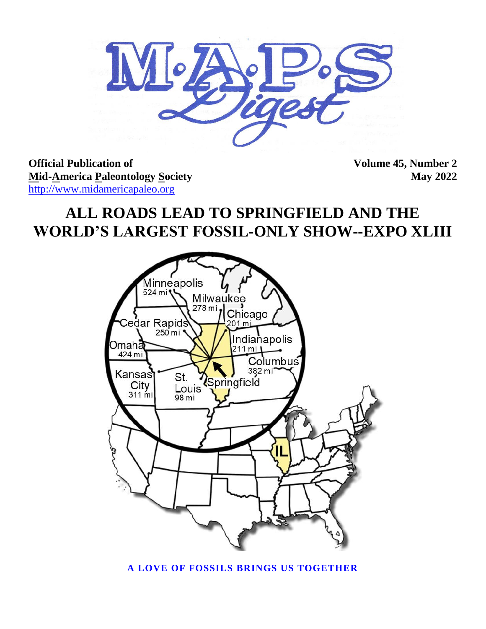

**Official Publication of Volume 45, Number 2 Mid-America Paleontology Society** May 2022 [http://www.midamericapaleo.org](http://www.midamericapaleo.org/)

# **ALL ROADS LEAD TO SPRINGFIELD AND THE WORLD'S LARGEST FOSSIL-ONLY SHOW--EXPO XLIII**



**A LOVE OF FOSSILS BRINGS US TOGETHER**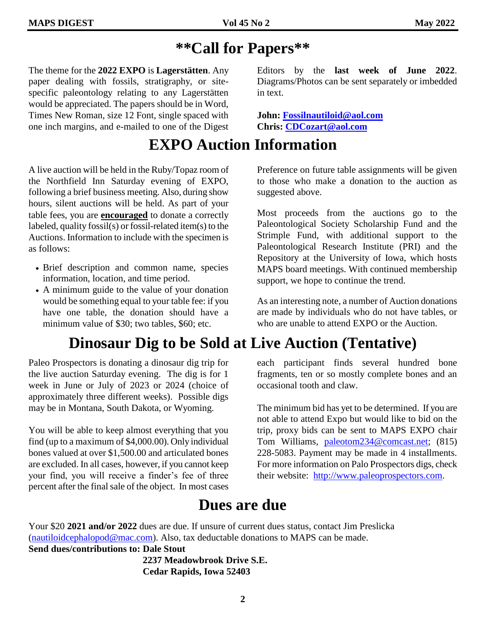# **\*\*Call for Papers\*\***

in text.

The theme for the **2022 EXPO** is **Lagerstätten**. Any paper dealing with fossils, stratigraphy, or sitespecific paleontology relating to any Lagerstätten would be appreciated. The papers should be in Word, Times New Roman, size 12 Font, single spaced with one inch margins, and e-mailed to one of the Digest

# **EXPO Auction Information**

A live auction will be held in the Ruby/Topaz room of the Northfield Inn Saturday evening of EXPO, following a brief business meeting. Also, during show hours, silent auctions will be held. As part of your table fees, you are **encouraged** to donate a correctly labeled, quality fossil(s) or fossil-related item(s) to the Auctions. Information to include with the specimen is as follows:

- Brief description and common name, species information, location, and time period.
- A minimum guide to the value of your donation would be something equal to your table fee: if you have one table, the donation should have a minimum value of \$30; two tables, \$60; etc.

# **Dinosaur Dig to be Sold at Live Auction (Tentative)**

Paleo Prospectors is donating a dinosaur dig trip for the live auction Saturday evening. The dig is for 1 week in June or July of 2023 or 2024 (choice of approximately three different weeks). Possible digs may be in Montana, South Dakota, or Wyoming.

You will be able to keep almost everything that you find (up to a maximum of \$4,000.00). Only individual bones valued at over \$1,500.00 and articulated bones are excluded. In all cases, however, if you cannot keep your find, you will receive a finder's fee of three percent after the final sale of the object. In most cases Preference on future table assignments will be given to those who make a donation to the auction as suggested above.

Editors by the **last week of June 2022**. Diagrams/Photos can be sent separately or imbedded

**John: [Fossilnautiloid@aol.com](mailto:Fossilnautiloid@aol.com) Chris: [CDCozart@aol.com](mailto:CDCozart@aol.com)**

Most proceeds from the auctions go to the Paleontological Society Scholarship Fund and the Strimple Fund, with additional support to the Paleontological Research Institute (PRI) and the Repository at the University of Iowa, which hosts MAPS board meetings. With continued membership support, we hope to continue the trend.

As an interesting note, a number of Auction donations are made by individuals who do not have tables, or who are unable to attend EXPO or the Auction.

each participant finds several hundred bone fragments, ten or so mostly complete bones and an occasional tooth and claw.

The minimum bid has yet to be determined. If you are not able to attend Expo but would like to bid on the trip, proxy bids can be sent to MAPS EXPO chair Tom Williams, [paleotom234@comcast.net;](mailto:paleotom234@comcast.net) (815) 228-5083. Payment may be made in 4 installments. For more information on Palo Prospectors digs, check their website: [http://www.paleoprospectors.com.](http://www.paleoprospectors.com/)

## **Dues are due**

Your \$20 **2021 and/or 2022** dues are due. If unsure of current dues status, contact Jim Preslicka [\(nautiloidcephalopod@mac.com\)](mailto:nautiloidcephalopod@mac.com). Also, tax deductable donations to MAPS can be made. **Send dues/contributions to: Dale Stout** 

> **2237 Meadowbrook Drive S.E. Cedar Rapids, Iowa 52403**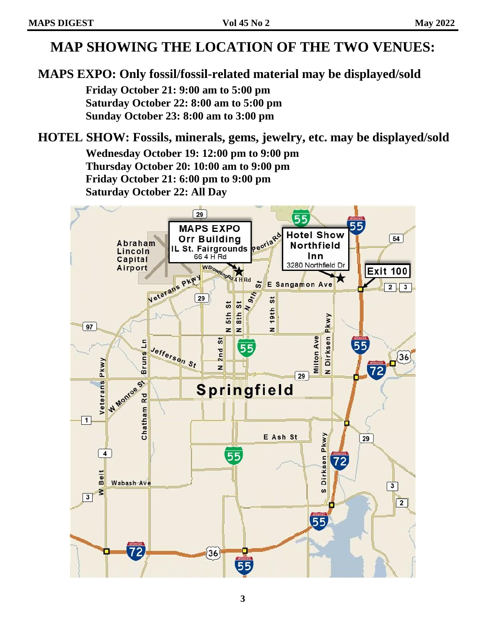## **MAP SHOWING THE LOCATION OF THE TWO VENUES:**

### **MAPS EXPO: Only fossil/fossil-related material may be displayed/sold**

**Friday October 21: 9:00 am to 5:00 pm Saturday October 22: 8:00 am to 5:00 pm Sunday October 23: 8:00 am to 3:00 pm**

### **HOTEL SHOW: Fossils, minerals, gems, jewelry, etc. may be displayed/sold**

**Wednesday October 19: 12:00 pm to 9:00 pm Thursday October 20: 10:00 am to 9:00 pm Friday October 21: 6:00 pm to 9:00 pm Saturday October 22: All Day**

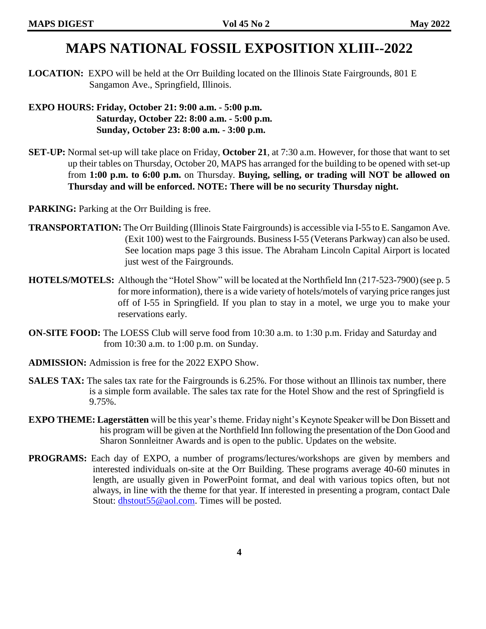## **MAPS NATIONAL FOSSIL EXPOSITION XLIII--2022**

**LOCATION:** EXPO will be held at the Orr Building located on the Illinois State Fairgrounds, 801 E Sangamon Ave., Springfield, Illinois.

**EXPO HOURS: Friday, October 21: 9:00 a.m. - 5:00 p.m. Saturday, October 22: 8:00 a.m. - 5:00 p.m. Sunday, October 23: 8:00 a.m. - 3:00 p.m.**

**SET-UP:** Normal set-up will take place on Friday, **October 21**, at 7:30 a.m. However, for those that want to set up their tables on Thursday, October 20, MAPS has arranged for the building to be opened with set-up from **1:00 p.m. to 6:00 p.m.** on Thursday. **Buying, selling, or trading will NOT be allowed on Thursday and will be enforced. NOTE: There will be no security Thursday night.** 

**PARKING:** Parking at the Orr Building is free.

- **TRANSPORTATION:** The Orr Building (Illinois State Fairgrounds) is accessible via I-55 to E. Sangamon Ave. (Exit 100) west to the Fairgrounds. Business I-55 (Veterans Parkway) can also be used. See location maps page 3 this issue. The Abraham Lincoln Capital Airport is located just west of the Fairgrounds.
- **HOTELS/MOTELS:** Although the "Hotel Show" will be located at the Northfield Inn (217-523-7900) (see p. 5 for more information), there is a wide variety of hotels/motels of varying price ranges just off of I-55 in Springfield. If you plan to stay in a motel, we urge you to make your reservations early.
- **ON-SITE FOOD:** The LOESS Club will serve food from 10:30 a.m. to 1:30 p.m. Friday and Saturday and from 10:30 a.m. to 1:00 p.m. on Sunday.
- **ADMISSION:** Admission is free for the 2022 EXPO Show.
- **SALES TAX:** The sales tax rate for the Fairgrounds is 6.25%. For those without an Illinois tax number, there is a simple form available. The sales tax rate for the Hotel Show and the rest of Springfield is 9.75%.
- **EXPO THEME: Lagerstätten** will be this year's theme. Friday night's Keynote Speaker will be Don Bissett and his program will be given at the Northfield Inn following the presentation of the Don Good and Sharon Sonnleitner Awards and is open to the public. Updates on the website.
- **PROGRAMS:** Each day of EXPO, a number of programs/lectures/workshops are given by members and interested individuals on-site at the Orr Building. These programs average 40-60 minutes in length, are usually given in PowerPoint format, and deal with various topics often, but not always, in line with the theme for that year. If interested in presenting a program, contact Dale Stout: [dhstout55@aol.com.](mailto:dhstout55@aol.com) Times will be posted.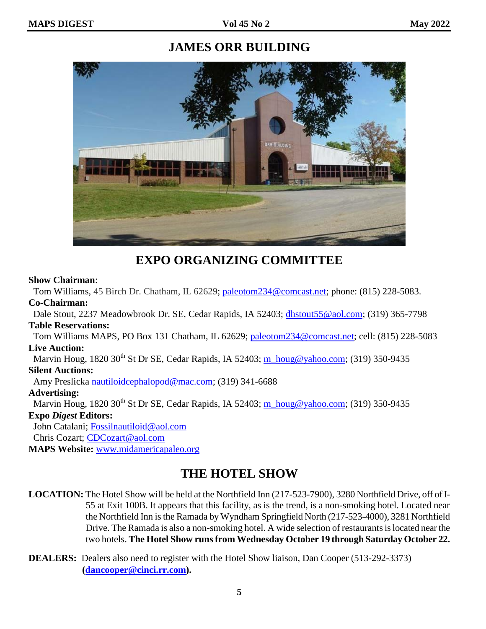### **JAMES ORR BUILDING**



**EXPO ORGANIZING COMMITTEE**

#### **Show Chairman**:

Tom Williams, 45 Birch Dr. Chatham, IL 62629; [paleotom234@comcast.net;](mailto:paleotom234@comcast.net) phone: (815) 228-5083. **Co-Chairman:**

Dale Stout, 2237 Meadowbrook Dr. SE, Cedar Rapids, IA 52403; [dhstout55@aol.com;](mailto:dhstout55@aol.com) (319) 365-7798 **Table Reservations:**

 Tom Williams MAPS, PO Box 131 Chatham, IL 62629; [paleotom234@comcast.net;](mailto:paleotom234@comcast.net) cell: (815) 228-5083 **Live Auction:**

Marvin Houg,  $1820\,30^{th}$  St Dr SE, Cedar Rapids, IA 52403; [m\\_houg@yahoo.com;](mailto:m_houg@yahoo.com) (319) 350-9435 **Silent Auctions:**

Amy Preslicka [nautiloidcephalopod@mac.com;](mailto:nautiloidcephalopod@mac.com) (319) 341-6688

#### **Advertising:**

Marvin Houg, 1820 30<sup>th</sup> St Dr SE, Cedar Rapids, IA 52403; [m\\_houg@yahoo.com;](mailto:m_houg@yahoo.com) (319) 350-9435

#### **Expo** *Digest* **Editors:**

John Catalani; [Fossilnautiloid@aol.com](mailto:Fossilnautiloid@aol.com) Chris Cozart; [CDCozart@aol.com](mailto:CDCozart@aol.com) **MAPS Website:** [www.midamericapaleo.org](http://www.midamericapaleo.org/)

## **THE HOTEL SHOW**

**LOCATION:** The Hotel Show will be held at the Northfield Inn (217-523-7900), 3280 Northfield Drive, off of I-55 at Exit 100B. It appears that this facility, as is the trend, is a non-smoking hotel. Located near the Northfield Inn is the Ramada by Wyndham Springfield North (217-523-4000), 3281 Northfield Drive. The Ramada is also a non-smoking hotel. A wide selection of restaurants is located near the two hotels. **The Hotel Show runs from Wednesday October 19 through Saturday October 22.**

**DEALERS:** Dealers also need to register with the Hotel Show liaison, Dan Cooper (513-292-3373) **[\(dancooper@cinci.rr.com\)](mailto:dancooper@cinci.rr.com).**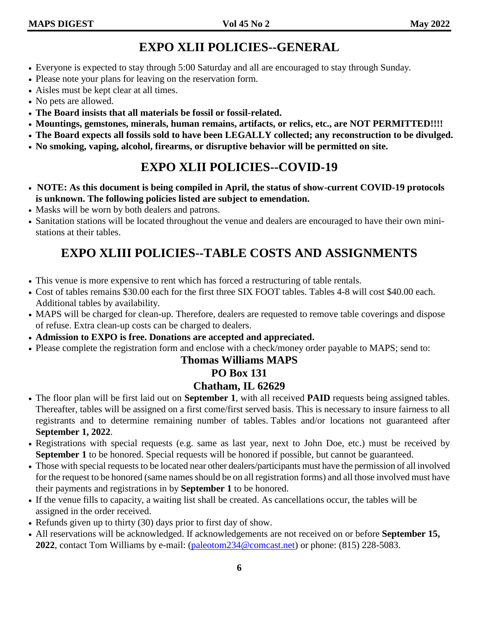### **EXPO XLII POLICIES--GENERAL**

- Everyone is expected to stay through 5:00 Saturday and all are encouraged to stay through Sunday.
- Please note your plans for leaving on the reservation form.
- Aisles must be kept clear at all times.
- No pets are allowed.
- **The Board insists that all materials be fossil or fossil-related.**
- **Mountings, gemstones, minerals, human remains, artifacts, or relics, etc., are NOT PERMITTED!!!!**
- **The Board expects all fossils sold to have been LEGALLY collected; any reconstruction to be divulged.**
- **No smoking, vaping, alcohol, firearms, or disruptive behavior will be permitted on site.**

## **EXPO XLII POLICIES--COVID-19**

- **NOTE: As this document is being compiled in April, the status of show-current COVID-19 protocols is unknown. The following policies listed are subject to emendation.**
- Masks will be worn by both dealers and patrons.
- Sanitation stations will be located throughout the venue and dealers are encouraged to have their own ministations at their tables.

## **EXPO XLIII POLICIES--TABLE COSTS AND ASSIGNMENTS**

- This venue is more expensive to rent which has forced a restructuring of table rentals.
- Cost of tables remains \$30.00 each for the first three SIX FOOT tables. Tables 4-8 will cost \$40.00 each. Additional tables by availability.
- MAPS will be charged for clean-up. Therefore, dealers are requested to remove table coverings and dispose of refuse. Extra clean-up costs can be charged to dealers.
- **Admission to EXPO is free. Donations are accepted and appreciated.**
- Please complete the registration form and enclose with a check/money order payable to MAPS; send to:

#### **Thomas Williams MAPS**

#### **PO Box 131**

#### **Chatham, IL 62629**

- The floor plan will be first laid out on **September 1**, with all received **PAID** requests being assigned tables. Thereafter, tables will be assigned on a first come/first served basis. This is necessary to insure fairness to all registrants and to determine remaining number of tables. Tables and/or locations not guaranteed after **September 1, 2022**.
- Registrations with special requests (e.g. same as last year, next to John Doe, etc.) must be received by **September 1** to be honored. Special requests will be honored if possible, but cannot be guaranteed.
- Those with special requests to be located near other dealers/participants must have the permission of all involved for the request to be honored (same names should be on all registration forms) and all those involved must have their payments and registrations in by **September 1** to be honored.
- If the venue fills to capacity, a waiting list shall be created. As cancellations occur, the tables will be assigned in the order received.
- Refunds given up to thirty (30) days prior to first day of show.
- All reservations will be acknowledged. If acknowledgements are not received on or before **September 15, 2022**, contact Tom Williams by e-mail: [\(paleotom234@comcast.net\)](mailto:paleotom234@comcast.net) or phone: (815) 228-5083.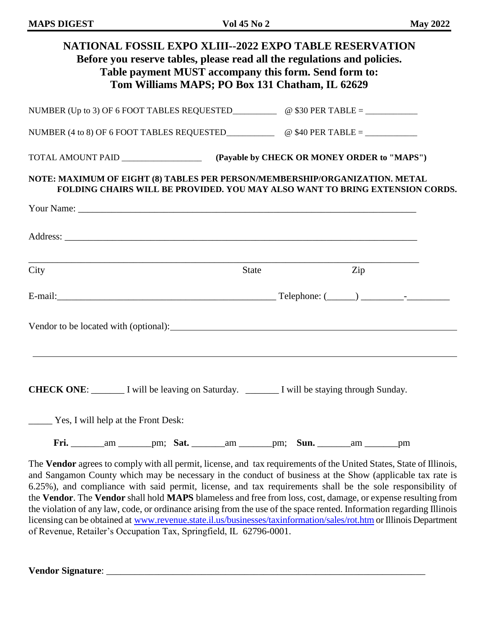|                                                       | NUMBER (Up to 3) OF 6 FOOT TABLES REQUESTED $\qquad \qquad \textcircled{330 PER TABLE} = \qquad \qquad$                                                     |              |     |
|-------------------------------------------------------|-------------------------------------------------------------------------------------------------------------------------------------------------------------|--------------|-----|
|                                                       | NUMBER (4 to 8) OF 6 FOOT TABLES REQUESTED $\qquad \qquad \textcircled{40 PER TABLE = }$                                                                    |              |     |
|                                                       |                                                                                                                                                             |              |     |
|                                                       | NOTE: MAXIMUM OF EIGHT (8) TABLES PER PERSON/MEMBERSHIP/ORGANIZATION. METAL<br>FOLDING CHAIRS WILL BE PROVIDED. YOU MAY ALSO WANT TO BRING EXTENSION CORDS. |              |     |
|                                                       |                                                                                                                                                             |              |     |
|                                                       |                                                                                                                                                             |              |     |
|                                                       |                                                                                                                                                             |              |     |
| City                                                  |                                                                                                                                                             | <b>State</b> | Zip |
|                                                       |                                                                                                                                                             |              |     |
|                                                       |                                                                                                                                                             |              |     |
|                                                       |                                                                                                                                                             |              |     |
|                                                       | Vendor to be located with (optional): Same and the contract of the contract of the located with (optional):                                                 |              |     |
|                                                       |                                                                                                                                                             |              |     |
|                                                       | <b>CHECK ONE:</b> I will be leaving on Saturday. ________ I will be staying through Sunday.                                                                 |              |     |
|                                                       |                                                                                                                                                             |              |     |
| <u>Nessetial</u> Yess. I will help at the Front Desk: |                                                                                                                                                             |              |     |

and Sangamon County which may be necessary in the conduct of business at the Show (applicable tax rate is 6.25%), and compliance with said permit, license, and tax requirements shall be the sole responsibility of the **Vendor**. The **Vendor** shall hold **MAPS** blameless and free from loss, cost, damage, or expense resulting from the violation of any law, code, or ordinance arising from the use of the space rented. Information regarding Illinois licensing can be obtained at [www.revenue.state.il.us/businesses/taxinformation/sales/rot.htm](http://www.revenue.state.il.us/businesses/taxinformation/sales/rot.htm) or Illinois Department of Revenue, Retailer's Occupation Tax, Springfield, IL 62796-0001.

**Vendor Signature**: \_\_\_\_\_\_\_\_\_\_\_\_\_\_\_\_\_\_\_\_\_\_\_\_\_\_\_\_\_\_\_\_\_\_\_\_\_\_\_\_\_\_\_\_\_\_\_\_\_\_\_\_\_\_\_\_\_\_\_\_\_\_\_\_\_\_\_